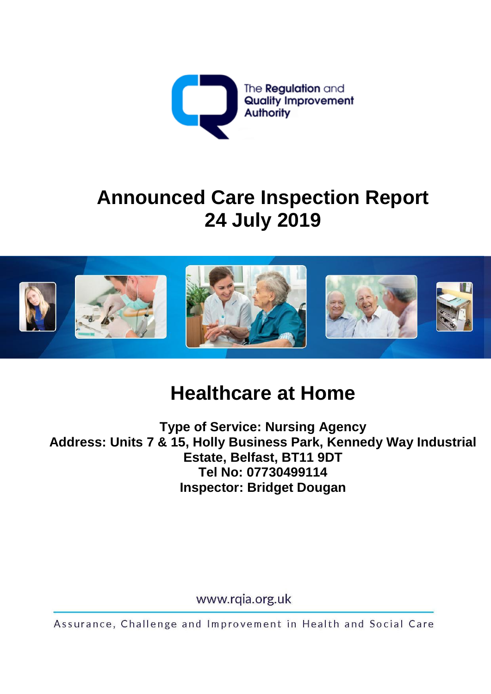

# **Announced Care Inspection Report 24 July 2019**



# **Healthcare at Home**

**Type of Service: Nursing Agency Address: Units 7 & 15, Holly Business Park, Kennedy Way Industrial Estate, Belfast, BT11 9DT Tel No: 07730499114 Inspector: Bridget Dougan**

www.rqia.org.uk

Assurance, Challenge and Improvement in Health and Social Care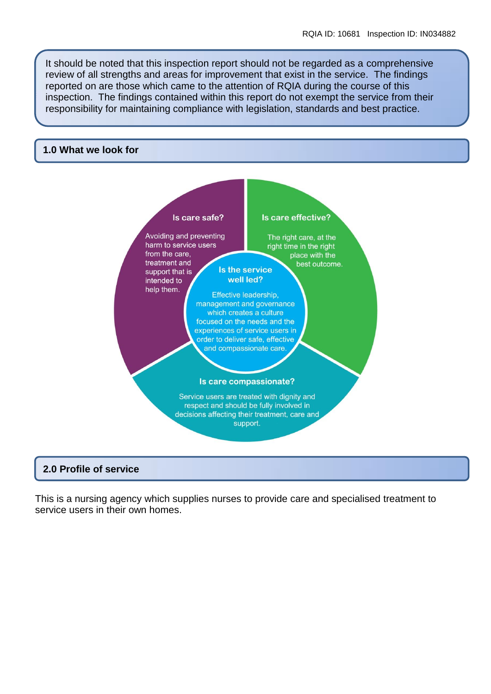It should be noted that this inspection report should not be regarded as a comprehensive review of all strengths and areas for improvement that exist in the service. The findings reported on are those which came to the attention of RQIA during the course of this inspection. The findings contained within this report do not exempt the service from their responsibility for maintaining compliance with legislation, standards and best practice.

#### **1.0 What we look for**



#### **2.0 Profile of service**

This is a nursing agency which supplies nurses to provide care and specialised treatment to service users in their own homes.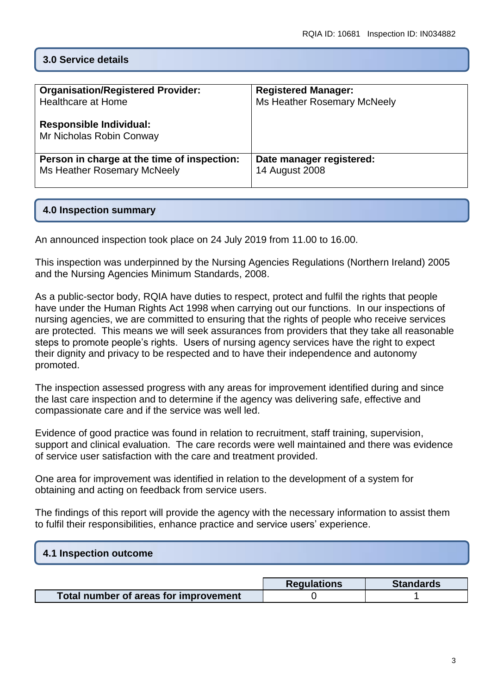# **3.0 Service details**

| <b>Organisation/Registered Provider:</b>                   | <b>Registered Manager:</b>  |
|------------------------------------------------------------|-----------------------------|
| Healthcare at Home                                         | Ms Heather Rosemary McNeely |
| <b>Responsible Individual:</b><br>Mr Nicholas Robin Conway |                             |
| Person in charge at the time of inspection:                | Date manager registered:    |
| Ms Heather Rosemary McNeely                                | <b>14 August 2008</b>       |

#### **4.0 Inspection summary**

An announced inspection took place on 24 July 2019 from 11.00 to 16.00.

This inspection was underpinned by the Nursing Agencies Regulations (Northern Ireland) 2005 and the Nursing Agencies Minimum Standards, 2008.

As a public-sector body, RQIA have duties to respect, protect and fulfil the rights that people have under the Human Rights Act 1998 when carrying out our functions. In our inspections of nursing agencies, we are committed to ensuring that the rights of people who receive services are protected. This means we will seek assurances from providers that they take all reasonable steps to promote people's rights. Users of nursing agency services have the right to expect their dignity and privacy to be respected and to have their independence and autonomy promoted.

The inspection assessed progress with any areas for improvement identified during and since the last care inspection and to determine if the agency was delivering safe, effective and compassionate care and if the service was well led.

Evidence of good practice was found in relation to recruitment, staff training, supervision, support and clinical evaluation. The care records were well maintained and there was evidence of service user satisfaction with the care and treatment provided.

One area for improvement was identified in relation to the development of a system for obtaining and acting on feedback from service users.

The findings of this report will provide the agency with the necessary information to assist them to fulfil their responsibilities, enhance practice and service users' experience.

| 4.1 Inspection outcome |  |  |
|------------------------|--|--|
|                        |  |  |

|                                       | <b>Regulations</b> | <b>Standards</b> |
|---------------------------------------|--------------------|------------------|
| Total number of areas for improvement |                    |                  |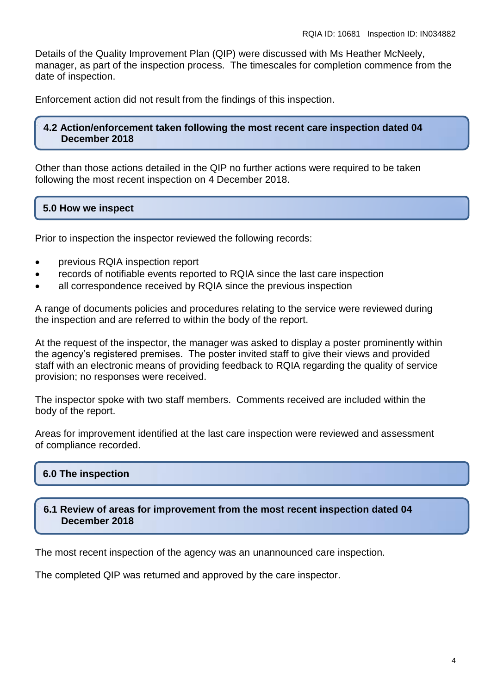Details of the Quality Improvement Plan (QIP) were discussed with Ms Heather McNeely, manager, as part of the inspection process. The timescales for completion commence from the date of inspection.

Enforcement action did not result from the findings of this inspection.

#### **4.2 Action/enforcement taken following the most recent care inspection dated 04 December 2018**

Other than those actions detailed in the QIP no further actions were required to be taken following the most recent inspection on 4 December 2018.

### **5.0 How we inspect**

Prior to inspection the inspector reviewed the following records:

- previous RQIA inspection report
- records of notifiable events reported to RQIA since the last care inspection
- all correspondence received by RQIA since the previous inspection

A range of documents policies and procedures relating to the service were reviewed during the inspection and are referred to within the body of the report.

At the request of the inspector, the manager was asked to display a poster prominently within the agency's registered premises. The poster invited staff to give their views and provided staff with an electronic means of providing feedback to RQIA regarding the quality of service provision; no responses were received.

The inspector spoke with two staff members. Comments received are included within the body of the report.

Areas for improvement identified at the last care inspection were reviewed and assessment of compliance recorded.

# **6.0 The inspection**

#### **6.1 Review of areas for improvement from the most recent inspection dated 04 December 2018**

The most recent inspection of the agency was an unannounced care inspection.

The completed QIP was returned and approved by the care inspector.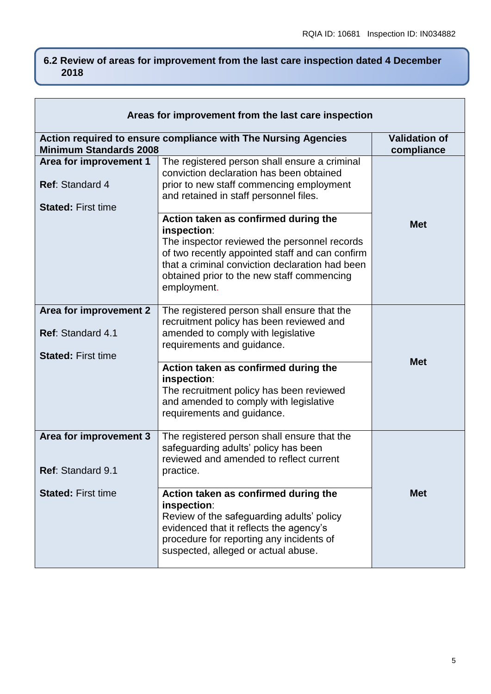# **6.2 Review of areas for improvement from the last care inspection dated 4 December 2018**

| Areas for improvement from the last care inspection                             |                                                                                                                                                                                                                                                                                                                                                                                                             |                                    |
|---------------------------------------------------------------------------------|-------------------------------------------------------------------------------------------------------------------------------------------------------------------------------------------------------------------------------------------------------------------------------------------------------------------------------------------------------------------------------------------------------------|------------------------------------|
| <b>Minimum Standards 2008</b>                                                   | Action required to ensure compliance with The Nursing Agencies                                                                                                                                                                                                                                                                                                                                              | <b>Validation of</b><br>compliance |
| Area for improvement 1<br>Ref: Standard 4<br><b>Stated: First time</b>          | The registered person shall ensure a criminal<br>conviction declaration has been obtained<br>prior to new staff commencing employment<br>and retained in staff personnel files.                                                                                                                                                                                                                             |                                    |
|                                                                                 | Action taken as confirmed during the<br>inspection:<br>The inspector reviewed the personnel records<br>of two recently appointed staff and can confirm<br>that a criminal conviction declaration had been<br>obtained prior to the new staff commencing<br>employment.                                                                                                                                      | <b>Met</b>                         |
| Area for improvement 2<br><b>Ref: Standard 4.1</b><br><b>Stated: First time</b> | The registered person shall ensure that the<br>recruitment policy has been reviewed and<br>amended to comply with legislative<br>requirements and guidance.<br>Action taken as confirmed during the<br>inspection:<br>The recruitment policy has been reviewed<br>and amended to comply with legislative                                                                                                    | <b>Met</b>                         |
| Area for improvement 3<br>Ref: Standard 9.1<br><b>Stated: First time</b>        | requirements and guidance.<br>The registered person shall ensure that the<br>safeguarding adults' policy has been<br>reviewed and amended to reflect current<br>practice.<br>Action taken as confirmed during the<br>inspection:<br>Review of the safeguarding adults' policy<br>evidenced that it reflects the agency's<br>procedure for reporting any incidents of<br>suspected, alleged or actual abuse. | <b>Met</b>                         |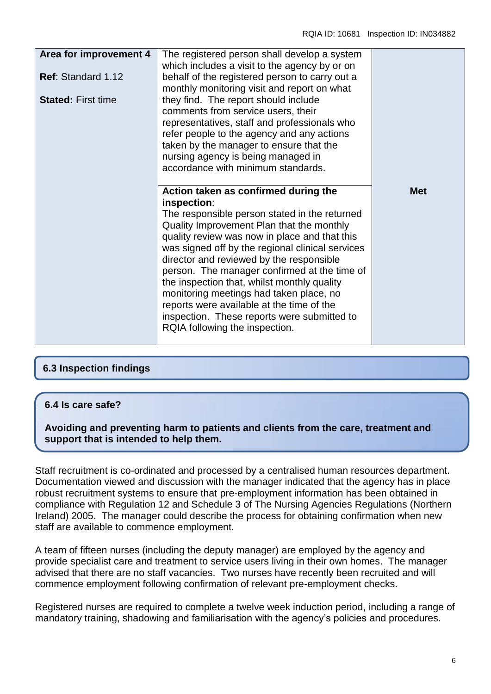| Area for improvement 4<br><b>Ref: Standard 1.12</b> | The registered person shall develop a system<br>which includes a visit to the agency by or on<br>behalf of the registered person to carry out a<br>monthly monitoring visit and report on what                                                                                                                                                                                                                                                                                                                                                                             |            |
|-----------------------------------------------------|----------------------------------------------------------------------------------------------------------------------------------------------------------------------------------------------------------------------------------------------------------------------------------------------------------------------------------------------------------------------------------------------------------------------------------------------------------------------------------------------------------------------------------------------------------------------------|------------|
| <b>Stated: First time</b>                           | they find. The report should include<br>comments from service users, their<br>representatives, staff and professionals who<br>refer people to the agency and any actions<br>taken by the manager to ensure that the<br>nursing agency is being managed in<br>accordance with minimum standards.                                                                                                                                                                                                                                                                            |            |
|                                                     | Action taken as confirmed during the<br>inspection:<br>The responsible person stated in the returned<br>Quality Improvement Plan that the monthly<br>quality review was now in place and that this<br>was signed off by the regional clinical services<br>director and reviewed by the responsible<br>person. The manager confirmed at the time of<br>the inspection that, whilst monthly quality<br>monitoring meetings had taken place, no<br>reports were available at the time of the<br>inspection. These reports were submitted to<br>RQIA following the inspection. | <b>Met</b> |

# **6.3 Inspection findings**

#### **6.4 Is care safe?**

**Avoiding and preventing harm to patients and clients from the care, treatment and support that is intended to help them.**

Staff recruitment is co-ordinated and processed by a centralised human resources department. Documentation viewed and discussion with the manager indicated that the agency has in place robust recruitment systems to ensure that pre-employment information has been obtained in compliance with Regulation 12 and Schedule 3 of The Nursing Agencies Regulations (Northern Ireland) 2005. The manager could describe the process for obtaining confirmation when new staff are available to commence employment.

A team of fifteen nurses (including the deputy manager) are employed by the agency and provide specialist care and treatment to service users living in their own homes. The manager advised that there are no staff vacancies. Two nurses have recently been recruited and will commence employment following confirmation of relevant pre-employment checks.

Registered nurses are required to complete a twelve week induction period, including a range of mandatory training, shadowing and familiarisation with the agency's policies and procedures.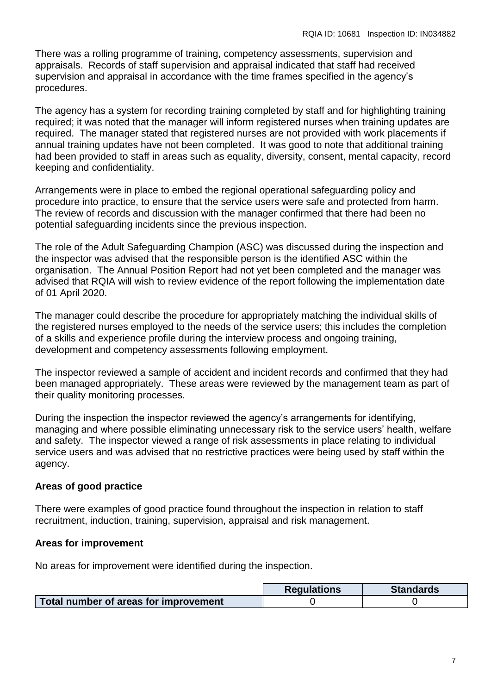There was a rolling programme of training, competency assessments, supervision and appraisals. Records of staff supervision and appraisal indicated that staff had received supervision and appraisal in accordance with the time frames specified in the agency's procedures.

The agency has a system for recording training completed by staff and for highlighting training required; it was noted that the manager will inform registered nurses when training updates are required. The manager stated that registered nurses are not provided with work placements if annual training updates have not been completed. It was good to note that additional training had been provided to staff in areas such as equality, diversity, consent, mental capacity, record keeping and confidentiality.

Arrangements were in place to embed the regional operational safeguarding policy and procedure into practice, to ensure that the service users were safe and protected from harm. The review of records and discussion with the manager confirmed that there had been no potential safeguarding incidents since the previous inspection.

The role of the Adult Safeguarding Champion (ASC) was discussed during the inspection and the inspector was advised that the responsible person is the identified ASC within the organisation. The Annual Position Report had not yet been completed and the manager was advised that RQIA will wish to review evidence of the report following the implementation date of 01 April 2020.

The manager could describe the procedure for appropriately matching the individual skills of the registered nurses employed to the needs of the service users; this includes the completion of a skills and experience profile during the interview process and ongoing training, development and competency assessments following employment.

The inspector reviewed a sample of accident and incident records and confirmed that they had been managed appropriately. These areas were reviewed by the management team as part of their quality monitoring processes.

During the inspection the inspector reviewed the agency's arrangements for identifying, managing and where possible eliminating unnecessary risk to the service users' health, welfare and safety. The inspector viewed a range of risk assessments in place relating to individual service users and was advised that no restrictive practices were being used by staff within the agency.

# **Areas of good practice**

There were examples of good practice found throughout the inspection in relation to staff recruitment, induction, training, supervision, appraisal and risk management.

# **Areas for improvement**

No areas for improvement were identified during the inspection.

|                                       | <b>Regulations</b> | <b>Standards</b> |
|---------------------------------------|--------------------|------------------|
| Total number of areas for improvement |                    |                  |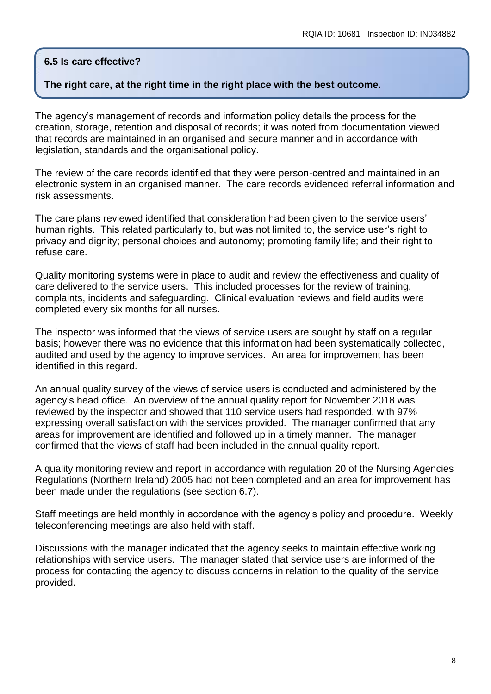#### **6.5 Is care effective?**

#### **The right care, at the right time in the right place with the best outcome.**

The agency's management of records and information policy details the process for the creation, storage, retention and disposal of records; it was noted from documentation viewed that records are maintained in an organised and secure manner and in accordance with legislation, standards and the organisational policy.

The review of the care records identified that they were person-centred and maintained in an electronic system in an organised manner. The care records evidenced referral information and risk assessments.

The care plans reviewed identified that consideration had been given to the service users' human rights. This related particularly to, but was not limited to, the service user's right to privacy and dignity; personal choices and autonomy; promoting family life; and their right to refuse care.

Quality monitoring systems were in place to audit and review the effectiveness and quality of care delivered to the service users. This included processes for the review of training, complaints, incidents and safeguarding. Clinical evaluation reviews and field audits were completed every six months for all nurses.

The inspector was informed that the views of service users are sought by staff on a regular basis; however there was no evidence that this information had been systematically collected, audited and used by the agency to improve services. An area for improvement has been identified in this regard.

An annual quality survey of the views of service users is conducted and administered by the agency's head office. An overview of the annual quality report for November 2018 was reviewed by the inspector and showed that 110 service users had responded, with 97% expressing overall satisfaction with the services provided. The manager confirmed that any areas for improvement are identified and followed up in a timely manner. The manager confirmed that the views of staff had been included in the annual quality report.

A quality monitoring review and report in accordance with regulation 20 of the Nursing Agencies Regulations (Northern Ireland) 2005 had not been completed and an area for improvement has been made under the regulations (see section 6.7).

Staff meetings are held monthly in accordance with the agency's policy and procedure. Weekly teleconferencing meetings are also held with staff.

Discussions with the manager indicated that the agency seeks to maintain effective working relationships with service users. The manager stated that service users are informed of the process for contacting the agency to discuss concerns in relation to the quality of the service provided.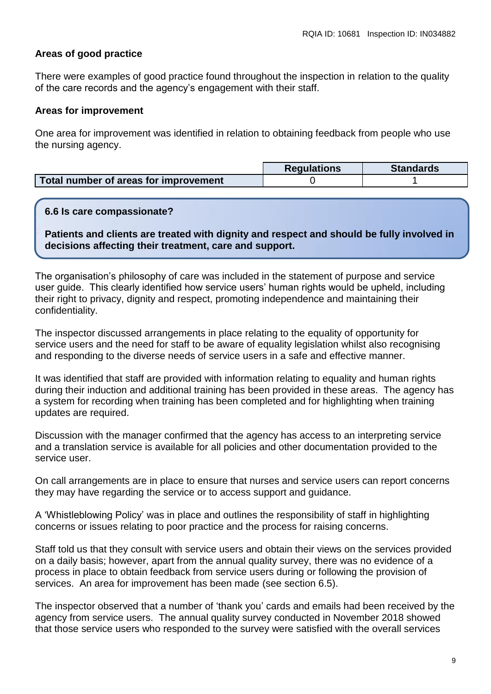# **Areas of good practice**

There were examples of good practice found throughout the inspection in relation to the quality of the care records and the agency's engagement with their staff.

#### **Areas for improvement**

One area for improvement was identified in relation to obtaining feedback from people who use the nursing agency.

|                                       | <b>Requlations</b> | <b>Standards</b> |
|---------------------------------------|--------------------|------------------|
| Total number of areas for improvement |                    |                  |

#### **6.6 Is care compassionate?**

**Patients and clients are treated with dignity and respect and should be fully involved in decisions affecting their treatment, care and support.**

The organisation's philosophy of care was included in the statement of purpose and service user guide. This clearly identified how service users' human rights would be upheld, including their right to privacy, dignity and respect, promoting independence and maintaining their confidentiality.

The inspector discussed arrangements in place relating to the equality of opportunity for service users and the need for staff to be aware of equality legislation whilst also recognising and responding to the diverse needs of service users in a safe and effective manner.

It was identified that staff are provided with information relating to equality and human rights during their induction and additional training has been provided in these areas. The agency has a system for recording when training has been completed and for highlighting when training updates are required.

Discussion with the manager confirmed that the agency has access to an interpreting service and a translation service is available for all policies and other documentation provided to the service user.

On call arrangements are in place to ensure that nurses and service users can report concerns they may have regarding the service or to access support and guidance.

A 'Whistleblowing Policy' was in place and outlines the responsibility of staff in highlighting concerns or issues relating to poor practice and the process for raising concerns.

Staff told us that they consult with service users and obtain their views on the services provided on a daily basis; however, apart from the annual quality survey, there was no evidence of a process in place to obtain feedback from service users during or following the provision of services. An area for improvement has been made (see section 6.5).

The inspector observed that a number of 'thank you' cards and emails had been received by the agency from service users. The annual quality survey conducted in November 2018 showed that those service users who responded to the survey were satisfied with the overall services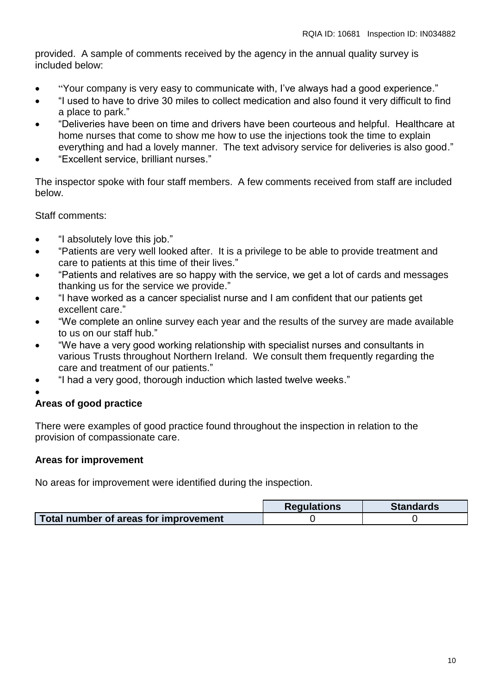provided. A sample of comments received by the agency in the annual quality survey is included below:

- "Your company is very easy to communicate with, I've always had a good experience."
- "I used to have to drive 30 miles to collect medication and also found it very difficult to find a place to park."
- "Deliveries have been on time and drivers have been courteous and helpful. Healthcare at home nurses that come to show me how to use the injections took the time to explain everything and had a lovely manner. The text advisory service for deliveries is also good."
- "Excellent service, brilliant nurses."

The inspector spoke with four staff members. A few comments received from staff are included below.

Staff comments:

- "I absolutely love this job."
- "Patients are very well looked after. It is a privilege to be able to provide treatment and care to patients at this time of their lives."
- "Patients and relatives are so happy with the service, we get a lot of cards and messages thanking us for the service we provide."
- "I have worked as a cancer specialist nurse and I am confident that our patients get excellent care."
- "We complete an online survey each year and the results of the survey are made available to us on our staff hub."
- "We have a very good working relationship with specialist nurses and consultants in various Trusts throughout Northern Ireland. We consult them frequently regarding the care and treatment of our patients."
- "I had a very good, thorough induction which lasted twelve weeks."
- $\bullet$

#### **Areas of good practice**

There were examples of good practice found throughout the inspection in relation to the provision of compassionate care.

#### **Areas for improvement**

No areas for improvement were identified during the inspection.

|                                       | <b>Regulations</b> | <b>Standards</b> |
|---------------------------------------|--------------------|------------------|
| Total number of areas for improvement |                    |                  |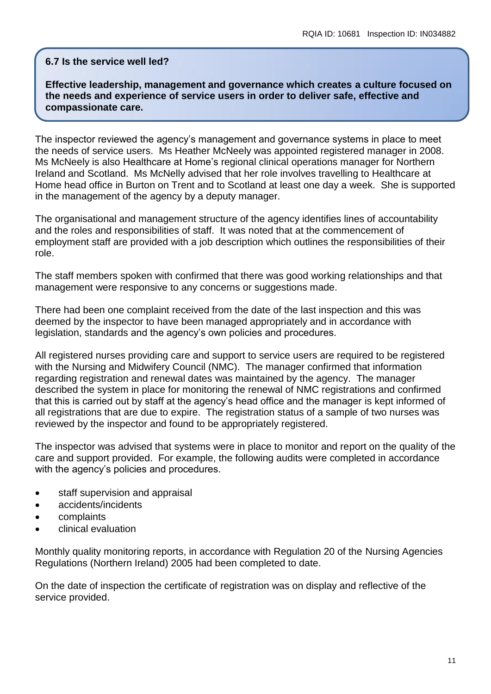#### **6.7 Is the service well led?**

**Effective leadership, management and governance which creates a culture focused on the needs and experience of service users in order to deliver safe, effective and compassionate care.**

The inspector reviewed the agency's management and governance systems in place to meet the needs of service users. Ms Heather McNeely was appointed registered manager in 2008. Ms McNeely is also Healthcare at Home's regional clinical operations manager for Northern Ireland and Scotland. Ms McNelly advised that her role involves travelling to Healthcare at Home head office in Burton on Trent and to Scotland at least one day a week. She is supported in the management of the agency by a deputy manager.

The organisational and management structure of the agency identifies lines of accountability and the roles and responsibilities of staff. It was noted that at the commencement of employment staff are provided with a job description which outlines the responsibilities of their role.

The staff members spoken with confirmed that there was good working relationships and that management were responsive to any concerns or suggestions made.

There had been one complaint received from the date of the last inspection and this was deemed by the inspector to have been managed appropriately and in accordance with legislation, standards and the agency's own policies and procedures.

All registered nurses providing care and support to service users are required to be registered with the Nursing and Midwifery Council (NMC). The manager confirmed that information regarding registration and renewal dates was maintained by the agency. The manager described the system in place for monitoring the renewal of NMC registrations and confirmed that this is carried out by staff at the agency's head office and the manager is kept informed of all registrations that are due to expire. The registration status of a sample of two nurses was reviewed by the inspector and found to be appropriately registered.

The inspector was advised that systems were in place to monitor and report on the quality of the care and support provided. For example, the following audits were completed in accordance with the agency's policies and procedures.

- staff supervision and appraisal
- accidents/incidents
- complaints
- **•** clinical evaluation

Monthly quality monitoring reports, in accordance with Regulation 20 of the Nursing Agencies Regulations (Northern Ireland) 2005 had been completed to date.

On the date of inspection the certificate of registration was on display and reflective of the service provided.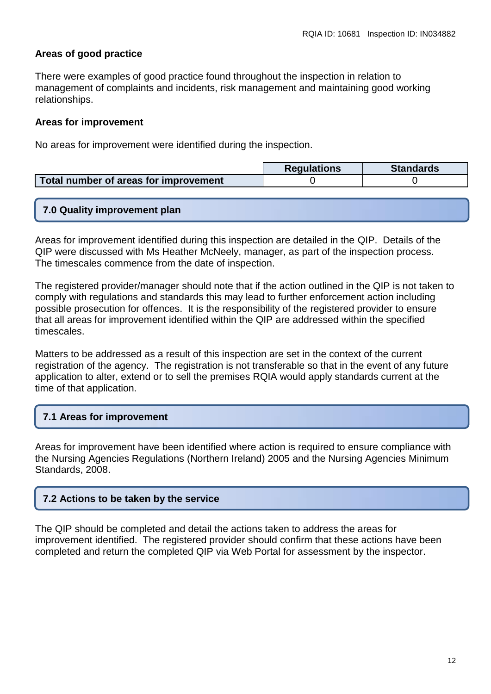### **Areas of good practice**

There were examples of good practice found throughout the inspection in relation to management of complaints and incidents, risk management and maintaining good working relationships.

#### **Areas for improvement**

No areas for improvement were identified during the inspection.

|                                       | <b>Requlations</b> | <b>Standards</b> |
|---------------------------------------|--------------------|------------------|
| Total number of areas for improvement |                    |                  |

#### **7.0 Quality improvement plan**

Areas for improvement identified during this inspection are detailed in the QIP. Details of the QIP were discussed with Ms Heather McNeely, manager, as part of the inspection process. The timescales commence from the date of inspection.

The registered provider/manager should note that if the action outlined in the QIP is not taken to comply with regulations and standards this may lead to further enforcement action including possible prosecution for offences. It is the responsibility of the registered provider to ensure that all areas for improvement identified within the QIP are addressed within the specified timescales.

Matters to be addressed as a result of this inspection are set in the context of the current registration of the agency. The registration is not transferable so that in the event of any future application to alter, extend or to sell the premises RQIA would apply standards current at the time of that application.

# **7.1 Areas for improvement**

Areas for improvement have been identified where action is required to ensure compliance with the Nursing Agencies Regulations (Northern Ireland) 2005 and the Nursing Agencies Minimum Standards, 2008.

# **7.2 Actions to be taken by the service**

The QIP should be completed and detail the actions taken to address the areas for improvement identified. The registered provider should confirm that these actions have been completed and return the completed QIP via Web Portal for assessment by the inspector.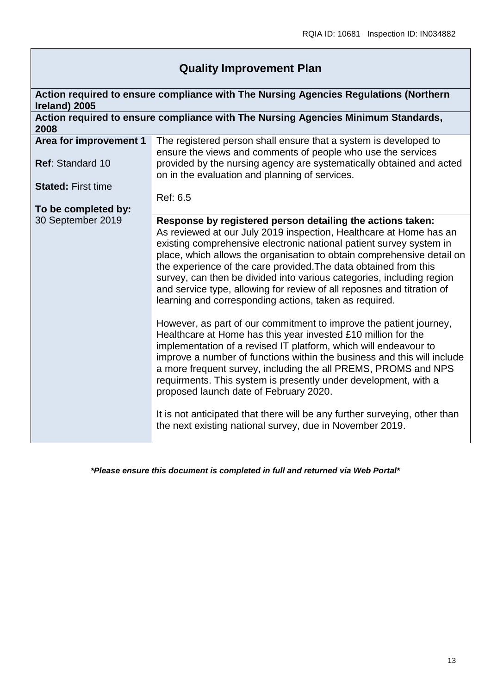# **Quality Improvement Plan**

| Ireland) 2005             | Action required to ensure compliance with The Nursing Agencies Regulations (Northern                                                                                                                                                                                                                                                                                                                                                                                                                                                                                                                        |
|---------------------------|-------------------------------------------------------------------------------------------------------------------------------------------------------------------------------------------------------------------------------------------------------------------------------------------------------------------------------------------------------------------------------------------------------------------------------------------------------------------------------------------------------------------------------------------------------------------------------------------------------------|
| 2008                      | Action required to ensure compliance with The Nursing Agencies Minimum Standards,                                                                                                                                                                                                                                                                                                                                                                                                                                                                                                                           |
| Area for improvement 1    | The registered person shall ensure that a system is developed to<br>ensure the views and comments of people who use the services                                                                                                                                                                                                                                                                                                                                                                                                                                                                            |
| Ref: Standard 10          | provided by the nursing agency are systematically obtained and acted<br>on in the evaluation and planning of services.                                                                                                                                                                                                                                                                                                                                                                                                                                                                                      |
| <b>Stated: First time</b> |                                                                                                                                                                                                                                                                                                                                                                                                                                                                                                                                                                                                             |
|                           | Ref: 6.5                                                                                                                                                                                                                                                                                                                                                                                                                                                                                                                                                                                                    |
| To be completed by:       |                                                                                                                                                                                                                                                                                                                                                                                                                                                                                                                                                                                                             |
| 30 September 2019         | Response by registered person detailing the actions taken:<br>As reviewed at our July 2019 inspection, Healthcare at Home has an<br>existing comprehensive electronic national patient survey system in<br>place, which allows the organisation to obtain comprehensive detail on<br>the experience of the care provided. The data obtained from this<br>survey, can then be divided into various categories, including region<br>and service type, allowing for review of all reposnes and titration of<br>learning and corresponding actions, taken as required.                                          |
|                           | However, as part of our commitment to improve the patient journey,<br>Healthcare at Home has this year invested £10 million for the<br>implementation of a revised IT platform, which will endeavour to<br>improve a number of functions within the business and this will include<br>a more frequent survey, including the all PREMS, PROMS and NPS<br>requirments. This system is presently under development, with a<br>proposed launch date of February 2020.<br>It is not anticipated that there will be any further surveying, other than<br>the next existing national survey, due in November 2019. |

*\*Please ensure this document is completed in full and returned via Web Portal\**